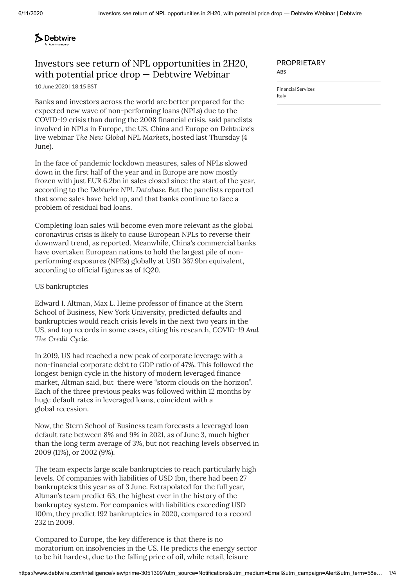# **S** Debtwire

## Investors see return of NPL opportunities in 2H20, with potential price drop — Debtwire Webinar

10 June 2020 | 18:15 BST

Banks and investors across the world are better prepared for the expected new wave of non-performing loans (NPLs) due to the COVID-19 crisis than during the 2008 financial crisis, said panelists involved in NPLs in Europe, the US, China and Europe on *Debtwire*'s live webinar *The New Global NPL Markets*, hosted last Thursday (4 June).

In the face of pandemic lockdown measures, sales of NPLs slowed down in the first half of the year and in Europe are now mostly frozen with just EUR 6.2bn in sales closed since the start of the year, according to the *Debtwire NPL [Database](https://www.debtwire.com/non-performing-loans)*. But the panelists reported that some sales have held up, and that banks continue to face a problem of residual bad loans.

Completing loan sales will become even more relevant as the global coronavirus crisis is likely to cause European NPLs to reverse their downward trend, as [reported.](https://www.debtwire.com/intelligence/view/prime-3032262) Meanwhile, China's commercial banks have overtaken European nations to hold the largest pile of nonperforming exposures (NPEs) globally at USD 367.9bn equivalent, according to official figures as of 1Q20.

### US bankruptcies

Edward I. Altman, Max L. Heine professor of finance at the Stern School of Business, New York University, predicted defaults and bankruptcies would reach crisis levels in the next two years in the US, and top records in some cases, citing his research, *[COVID-19](https://www.acuris.com/document-repository/document/-KmztOiva) And The Credit Cycle*.

In 2019, US had reached a new peak of corporate leverage with a non-financial corporate debt to GDP ratio of 47%. This followed the longest benign cycle in the history of modern leveraged finance market, Altman said, but there were "storm clouds on the horizon". Each of the three previous peaks was followed within 12 months by huge default rates in leveraged loans, coincident with a global recession.

Now, the Stern School of Business team forecasts a leveraged loan default rate between 8% and 9% in 2021, as of June 3, much higher than the long term average of 3%, but not reaching levels observed in 2009 (11%), or 2002 (9%).

The team expects large scale bankruptcies to reach particularly high levels. Of companies with liabilities of USD 1bn, there had been 27 bankruptcies this year as of 3 June. Extrapolated for the full year, Altman's team predict 63, the highest ever in the history of the bankruptcy system. For companies with liabilities exceeding USD 100m, they predict 192 bankruptcies in 2020, compared to a record 232 in 2009.

Compared to Europe, the key difference is that there is no moratorium on insolvencies in the US. He predicts the energy sector to be hit hardest, due to the falling price of oil, while retail, leisure

### PROPRIETARY

**ABS**

[Financial](https://www.debtwire.com/search?filters=%26sectors%3Dprime-finance) Services [Italy](https://www.debtwire.com/search?filters=%26dominantCountry%3Dprime-ITA)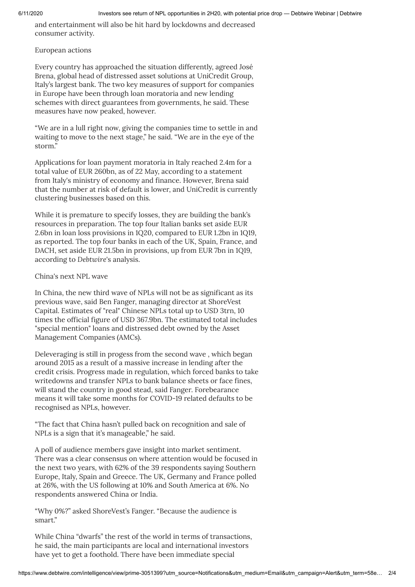and entertainment will also be hit hard by lockdowns and decreased consumer activity.

### European actions

Every country has approached the situation differently, agreed José Brena, global head of distressed asset solutions at UniCredit Group, Italy's largest bank. The two key measures of support for companies in Europe have been through loan moratoria and new lending schemes with direct guarantees from governments, he said. These measures have now peaked, however.

"We are in a lull right now, giving the companies time to settle in and waiting to move to the next stage," he said. "We are in the eye of the storm."

Applications for loan payment moratoria in Italy reached 2.4m for a total value of EUR 260bn, as of 22 May, according to a [statement](https://www.debtwire.com/intelligence/view/prime-3047248) from Italy's ministry of economy and finance. However, Brena said that the number at risk of default is lower, and UniCredit is currently clustering businesses based on this.

While it is premature to specify losses, they are building the bank's resources in preparation. The top four Italian banks set aside EUR 2.6bn in loan loss provisions in 1Q20, compared to EUR 1.2bn in 1Q19, as [reported](https://www.debtwire.com/intelligence/view/prime-3032262). The top four banks in each of the UK, Spain, France, and DACH, set aside EUR 21.5bn in provisions, up from EUR 7bn in 1Q19, according to *Debtwire*'s analysis.

### China's next NPL wave

In China, the new third wave of NPLs will not be as significant as its previous wave, said Ben Fanger, managing director at ShoreVest Capital. Estimates of "real" Chinese NPLs total up to USD 3trn, 10 times the official figure of USD 367.9bn. The estimated total includes "special mention" loans and distressed debt owned by the Asset Management Companies (AMCs).

Deleveraging is still in progess from the second wave , which began around 2015 as a result of a massive increase in lending after the credit crisis. Progress made in regulation, which forced banks to take writedowns and transfer NPLs to bank balance sheets or face fines, will stand the country in good stead, said Fanger. Forebearance means it will take some months for COVID-19 related defaults to be recognised as NPLs, however.

"The fact that China hasn't pulled back on recognition and sale of NPLs is a sign that it's manageable," he said.

A poll of audience members gave insight into market sentiment. There was a clear consensus on where attention would be focused in the next two years, with 62% of the 39 respondents saying Southern Europe, Italy, Spain and Greece. The UK, Germany and France polled at 26%, with the US following at 10% and South America at 6%. No respondents answered China or India.

"Why 0%?" asked ShoreVest's Fanger. "Because the audience is smart."

While China "dwarfs" the rest of the world in terms of transactions, he said, the main participants are local and international investors have yet to get a foothold. There have been immediate special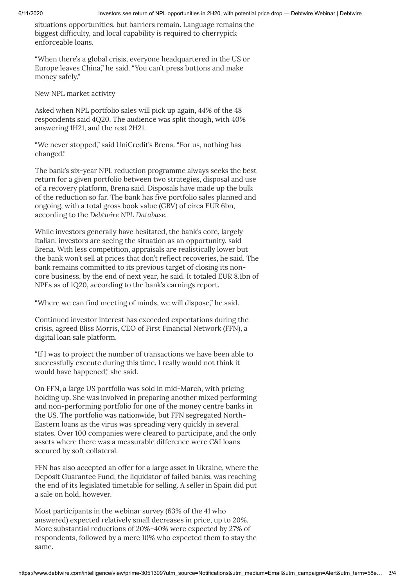situations opportunities, but barriers remain. Language remains the biggest difficulty, and local capability is required to cherrypick enforceable loans.

"When there's a global crisis, everyone headquartered in the US or Europe leaves China," he said. "You can't press buttons and make money safely."

New NPL market activity

Asked when NPL portfolio sales will pick up again, 44% of the 48 respondents said 4Q20. The audience was split though, with 40% answering 1H21, and the rest 2H21.

"We never stopped," said UniCredit's Brena. "For us, nothing has changed."

The bank's six-year NPL reduction programme always seeks the best return for a given portfolio between two strategies, disposal and use of a recovery platform, Brena said. Disposals have made up the bulk of the reduction so far. The bank has five portfolio sales planned and ongoing, with a total gross book value (GBV) of circa EUR 6bn, according to the *Debtwire NPL [Database](https://www.debtwire.com/non-performing-loans)*.

While investors generally have hesitated, the bank's core, largely Italian, investors are seeing the situation as an opportunity, said Brena. With less competition, appraisals are realistically lower but the bank won't sell at prices that don't reflect recoveries, he said. The bank remains committed to its previous target of closing its noncore business, by the end of next year, he said. It totaled EUR 8.1bn of NPEs as of 1Q20, according to the bank's [earnings](https://www.unicreditgroup.eu/content/dam/unicreditgroup-eu/documents/en/investors/group-results/2020/1Q20/UniCredit_PR_1Q20_ENG.pdf) report.

"Where we can find meeting of minds, we will dispose," he said.

Continued investor interest has exceeded expectations during the crisis, agreed Bliss Morris, CEO of First Financial Network (FFN), a digital loan sale platform.

"If I was to project the number of transactions we have been able to successfully execute during this time, I really would not think it would have happened," she said.

On FFN, a large US portfolio was sold in mid-March, with pricing holding up. She was involved in preparing another mixed performing and non-performing portfolio for one of the money centre banks in the US. The portfolio was nationwide, but FFN segregated North-Eastern loans as the virus was spreading very quickly in several states. Over 100 companies were cleared to participate, and the only assets where there was a measurable difference were C&I loans secured by soft collateral.

FFN has also accepted an offer for a large asset in Ukraine, where the Deposit Guarantee Fund, the liquidator of failed banks, was reaching the end of its legislated timetable for selling. A seller in Spain did put a sale on hold, however.

Most participants in the webinar survey (63% of the 41 who answered) expected relatively small decreases in price, up to 20%. More substantial reductions of 20%–40% were expected by 27% of respondents, followed by a mere 10% who expected them to stay the same.